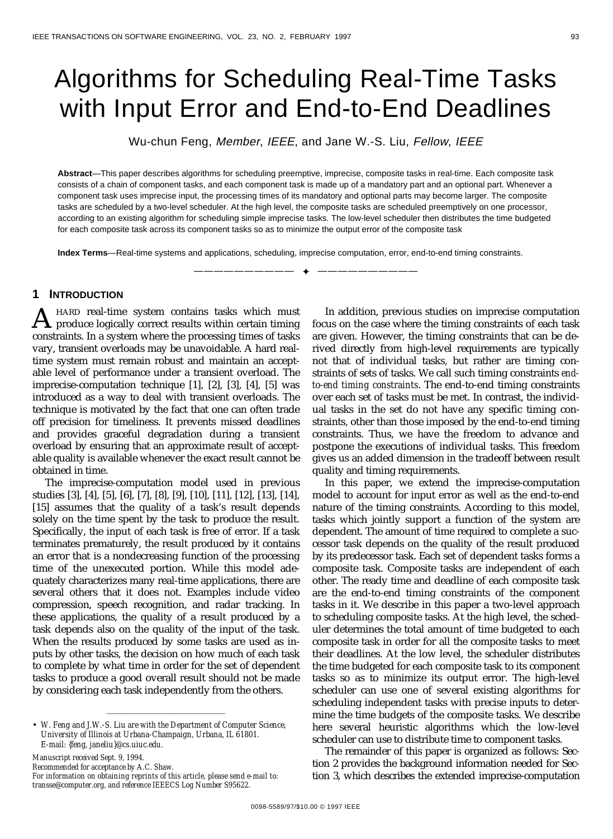# Algorithms for Scheduling Real-Time Tasks with Input Error and End-to-End Deadlines

Wu-chun Feng, Member, IEEE, and Jane W.-S. Liu, Fellow, IEEE

**Abstract**—This paper describes algorithms for scheduling preemptive, imprecise, composite tasks in real-time. Each composite task consists of a chain of component tasks, and each component task is made up of a mandatory part and an optional part. Whenever a component task uses imprecise input, the processing times of its mandatory and optional parts may become larger. The composite tasks are scheduled by a two-level scheduler. At the high level, the composite tasks are scheduled preemptively on one processor, according to an existing algorithm for scheduling simple imprecise tasks. The low-level scheduler then distributes the time budgeted for each composite task across its component tasks so as to minimize the output error of the composite task

—————————— ✦ ——————————

**Index Terms**—Real-time systems and applications, scheduling, imprecise computation, error, end-to-end timing constraints.

## **1 INTRODUCTION**

HARD real-time system contains tasks which must produce logically correct results within certain timing  $A$  HARD real-time system contains tasks which must produce logically correct results within certain timing constraints. In a system where the processing times of tasks vary, transient overloads may be unavoidable. A hard realtime system must remain robust and maintain an acceptable level of performance under a transient overload. The imprecise-computation technique [1], [2], [3], [4], [5] was introduced as a way to deal with transient overloads. The technique is motivated by the fact that one can often trade off precision for timeliness. It prevents missed deadlines and provides graceful degradation during a transient overload by ensuring that an approximate result of acceptable quality is available whenever the exact result cannot be obtained in time.

The imprecise-computation model used in previous studies [3], [4], [5], [6], [7], [8], [9], [10], [11], [12], [13], [14], [15] assumes that the quality of a task's result depends solely on the time spent by the task to produce the result. Specifically, the input of each task is free of error. If a task terminates prematurely, the result produced by it contains an error that is a nondecreasing function of the processing time of the unexecuted portion. While this model adequately characterizes many real-time applications, there are several others that it does not. Examples include video compression, speech recognition, and radar tracking. In these applications, the quality of a result produced by a task depends also on the quality of the input of the task. When the results produced by some tasks are used as inputs by other tasks, the decision on how much of each task to complete by what time in order for the set of dependent tasks to produce a good overall result should not be made by considering each task independently from the others.

————————————————

*Manuscript received Sept. 9, 1994. Recommended for acceptance by A.C. Shaw.*

*For information on obtaining reprints of this article, please send e-mail to: transse@computer.org, and reference IEEECS Log Number S95622.*

In addition, previous studies on imprecise computation focus on the case where the timing constraints of each task are given. However, the timing constraints that can be derived directly from high-level requirements are typically not that of individual tasks, but rather are timing constraints of sets of tasks. We call such timing constraints *endto-end timing constraints*. The end-to-end timing constraints over each set of tasks must be met. In contrast, the individual tasks in the set do not have any specific timing constraints, other than those imposed by the end-to-end timing constraints. Thus, we have the freedom to advance and postpone the executions of individual tasks. This freedom gives us an added dimension in the tradeoff between result quality and timing requirements.

In this paper, we extend the imprecise-computation model to account for input error as well as the end-to-end nature of the timing constraints. According to this model, tasks which jointly support a function of the system are dependent. The amount of time required to complete a successor task depends on the quality of the result produced by its predecessor task. Each set of dependent tasks forms a composite task. Composite tasks are independent of each other. The ready time and deadline of each composite task are the end-to-end timing constraints of the component tasks in it. We describe in this paper a two-level approach to scheduling composite tasks. At the high level, the scheduler determines the total amount of time budgeted to each composite task in order for all the composite tasks to meet their deadlines. At the low level, the scheduler distributes the time budgeted for each composite task to its component tasks so as to minimize its output error. The high-level scheduler can use one of several existing algorithms for scheduling independent tasks with precise inputs to determine the time budgets of the composite tasks. We describe here several heuristic algorithms which the low-level scheduler can use to distribute time to component tasks.

The remainder of this paper is organized as follows: Section 2 provides the background information needed for Section 3, which describes the extended imprecise-computation

<sup>•</sup> *W. Feng and J.W.-S. Liu are with the Department of Computer Science, University of Illinois at Urbana-Champaign, Urbana, IL 61801. E-mail: {feng, janeliu}@cs.uiuc.edu.*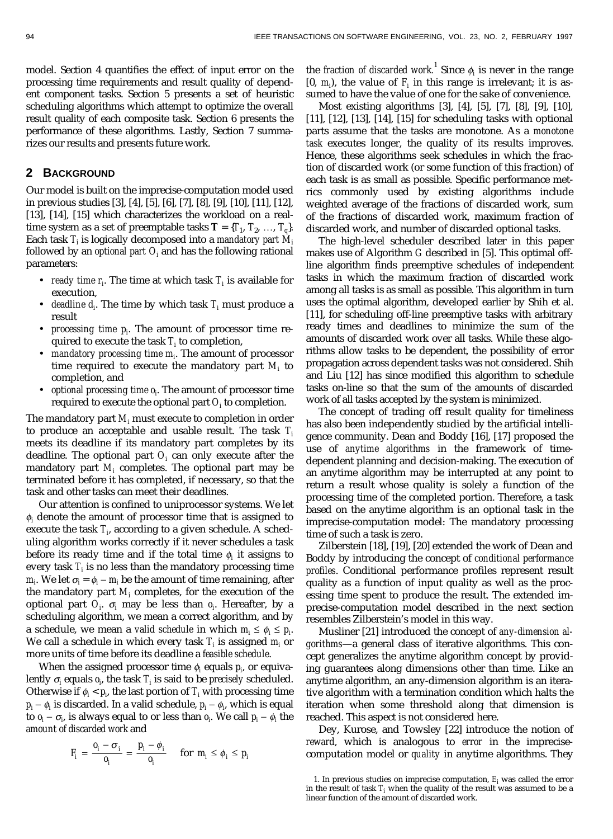model. Section 4 quantifies the effect of input error on the processing time requirements and result quality of dependent component tasks. Section 5 presents a set of heuristic scheduling algorithms which attempt to optimize the overall result quality of each composite task. Section 6 presents the performance of these algorithms. Lastly, Section 7 summarizes our results and presents future work.

## **2 BACKGROUND**

Our model is built on the imprecise-computation model used in previous studies [3], [4], [5], [6], [7], [8], [9], [10], [11], [12], [13], [14], [15] which characterizes the workload on a realtime system as a set of preemptable tasks **T** = { $T_1$ ,  $T_2$ , ...,  $T_q$ }. Each task *Ti* is logically decomposed into a *mandatory part Mi* followed by an *optional part*  $O_i$  and has the following rational parameters:

- *ready time*  $r_i$ . The time at which task  $T_i$  is available for execution,
- *deadline*  $d_i$ . The time by which task  $T_i$  must produce a result
- *processing time pi* . The amount of processor time required to execute the task *Ti* to completion,
- *mandatory processing time mi* . The amount of processor time required to execute the mandatory part *Mi* to completion, and
- *optional processing time*  $o_i$ . The amount of processor time required to execute the optional part  $O_i$  to completion.

The mandatory part  $M_i$  must execute to completion in order to produce an acceptable and usable result. The task *Ti* meets its deadline if its mandatory part completes by its deadline. The optional part  $O_i$  can only execute after the mandatory part  $M_i$  completes. The optional part may be terminated before it has completed, if necessary, so that the task and other tasks can meet their deadlines.

Our attention is confined to uniprocessor systems. We let  $\phi_i$  denote the amount of processor time that is assigned to execute the task  $T_{\scriptscriptstyle \hat{p}}$  according to a given schedule. A scheduling algorithm works correctly if it never schedules a task before its ready time and if the total time  $\phi_i$  it assigns to every task  $\, T_{i}$  is no less than the mandatory processing time  $m_i$ . We let  $\sigma_i = \phi_i - m_i$  be the amount of time remaining, after the mandatory part  $M_i$  completes, for the execution of the  $\,$ optional part  $O_i$ .  $\sigma_i$  may be less than  $o_i$ . Hereafter, by a scheduling algorithm, we mean a correct algorithm, and by a schedule, we mean a *valid schedule* in which  $m_i \leq \phi_i \leq p_i$ . We call a schedule in which every task *Ti* is assigned *mi* or more units of time before its deadline a *feasible schedule*.

When the assigned processor time  $\phi_i$  equals  $p_i$ , or equivalently  $\sigma_i$  equals  $o_i$ , the task  $T_i$  is said to be *precisely* scheduled. Otherwise if  $\phi_i < p_i$ , the last portion of  $T_i$  with processing time  $p_i - \phi_i$  is discarded. In a valid schedule,  $p_i - \phi_i$ , which is equal to  $o_i - \sigma_i$ , is always equal to or less than  $o_i$ . We call  $p_i - \phi_i$  the *amount of discarded work* and

$$
F_i = \frac{o_i - \sigma_i}{o_i} = \frac{p_i - \phi_i}{o_i} \quad \text{for } m_i \le \phi_i \le p_i
$$

the *fraction of discarded work.*<sup>1</sup> Since  $\phi_i$  is never in the range  $[0, m_j)$ , the value of  $F_i$  in this range is irrelevant; it is assumed to have the value of one for the sake of convenience.

Most existing algorithms [3], [4], [5], [7], [8], [9], [10], [11], [12], [13], [14], [15] for scheduling tasks with optional parts assume that the tasks are monotone. As a *monotone task* executes longer, the quality of its results improves. Hence, these algorithms seek schedules in which the fraction of discarded work (or some function of this fraction) of each task is as small as possible. Specific performance metrics commonly used by existing algorithms include weighted average of the fractions of discarded work, sum of the fractions of discarded work, maximum fraction of discarded work, and number of discarded optional tasks.

The high-level scheduler described later in this paper makes use of Algorithm *G* described in [5]. This optimal offline algorithm finds preemptive schedules of independent tasks in which the maximum fraction of discarded work among all tasks is as small as possible. This algorithm in turn uses the optimal algorithm, developed earlier by Shih et al. [11], for scheduling off-line preemptive tasks with arbitrary ready times and deadlines to minimize the sum of the amounts of discarded work over all tasks. While these algorithms allow tasks to be dependent, the possibility of error propagation across dependent tasks was not considered. Shih and Liu [12] has since modified this algorithm to schedule tasks on-line so that the sum of the amounts of discarded work of all tasks accepted by the system is minimized.

The concept of trading off result quality for timeliness has also been independently studied by the artificial intelligence community. Dean and Boddy [16], [17] proposed the use of *anytime algorithms* in the framework of timedependent planning and decision-making. The execution of an anytime algorithm may be interrupted at any point to return a result whose quality is solely a function of the processing time of the completed portion. Therefore, a task based on the anytime algorithm is an optional task in the imprecise-computation model: The mandatory processing time of such a task is zero.

Zilberstein [18], [19], [20] extended the work of Dean and Boddy by introducing the concept of *conditional performance profiles*. Conditional performance profiles represent result quality as a function of input quality as well as the processing time spent to produce the result. The extended imprecise-computation model described in the next section resembles Zilberstein's model in this way.

Musliner [21] introduced the concept of *any-dimension algorithms*—a general class of iterative algorithms. This concept generalizes the anytime algorithm concept by providing guarantees along dimensions other than time. Like an anytime algorithm, an any-dimension algorithm is an iterative algorithm with a termination condition which halts the iteration when some threshold along that dimension is reached. This aspect is not considered here.

Dey, Kurose, and Towsley [22] introduce the notion of *reward*, which is analogous to *error* in the imprecisecomputation model or *quality* in anytime algorithms. They

<sup>1.</sup> In previous studies on imprecise computation,  $E_i$  was called the error in the result of task  $T_i$  when the quality of the result was assumed to be a linear function of the amount of discarded work.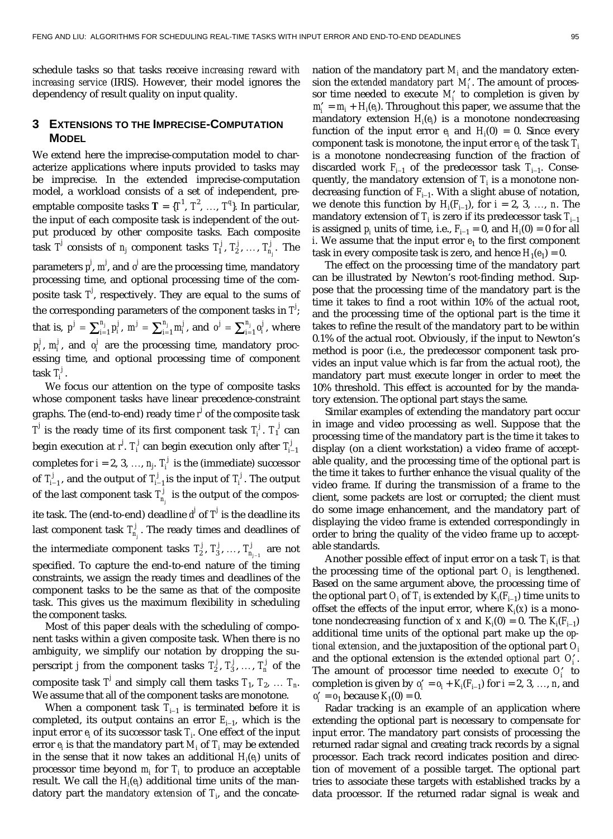schedule tasks so that tasks receive *increasing reward with increasing service* (IRIS). However, their model ignores the dependency of result quality on input quality.

# **3 EXTENSIONS TO THE IMPRECISE-COMPUTATION MODEL**

We extend here the imprecise-computation model to characterize applications where inputs provided to tasks may be imprecise. In the extended imprecise-computation model, a workload consists of a set of independent, preemptable composite tasks **T** = { $T$ <sup>1</sup>,  $T$ <sup>2</sup>, ...,  $T$ <sup>q</sup>}. In particular, the input of each composite task is independent of the output produced by other composite tasks. Each composite task  $T^j$  consists of  $n_j$  component tasks  $T^j_1, T^j_2, ..., T^j_{n_j}$ . The parameters  $p^j$ ,  $m^j$ , and  $o^j$  are the processing time, mandatory processing time, and optional processing time of the composite task  $\mathit{T}^{j}$ , respectively. They are equal to the sums of the corresponding parameters of the component tasks in  $\mathit{T}^{j}$ ; that is,  $p^j = \sum_{i=1}^{n_j} p_i^j$ ,  $m^j = \sum_{i=1}^{n_j} m_i^j$ *n i j j i n*  $j = \sum_{i=1}^{n_j} p_i^j$ ,  $m^j = \sum_{i=1}^{n_j} m_i^j$ , and  $o^j = \sum_{i=1}^{n_j} o_i^j$ *n*  $=\sum_{i=1}^{n_j} o_i^j$ , where  $p_i^j$ ,  $m_i^j$ , and  $o_i^j$  are the processing time, mandatory processing time, and optional processing time of component task  $T_i^j$ .

We focus our attention on the type of composite tasks whose component tasks have linear precedence-constraint graphs. The (end-to-end) ready time  $\overline{r}^j$  of the composite task  $T^j$  is the ready time of its first component task  $T_i^j$ .  $T_1^j$  can begin execution at  $r^j$ .  $T^j_i$  can begin execution only after  $T^j_{i-1}$ completes for  $i = 2, 3, ..., n_j$ .  $T_i^j$  is the (immediate) successor of  $T_{i-1}^j$ , and the output of  $T_{i-1}^j$  is the input of  $T_i^j$ . The output of the last component task  $T_n^j$  $j$  is the output of the composite task. The (end-to-end) deadline  $d^{j}$  of  $T^{j}$  is the deadline its last component task  $T_n^j$ *j* . The ready times and deadlines of the intermediate component tasks  $T_2^j,~T_3^j,~...,~T_{n_{j-1}}^j$  are not specified. To capture the end-to-end nature of the timing constraints, we assign the ready times and deadlines of the component tasks to be the same as that of the composite task. This gives us the maximum flexibility in scheduling the component tasks.

Most of this paper deals with the scheduling of component tasks within a given composite task. When there is no ambiguity, we simplify our notation by dropping the superscript *j* from the component tasks  $T_2^j, T_3^j, ..., T_n^j$  of the composite task  $T^j$  and simply call them tasks  $T_1, T_2, ... T_n$ . We assume that all of the component tasks are monotone.

When a component task  $T_{i-1}$  is terminated before it is completed, its output contains an error  $E_{i-1}$ , which is the input error  $e_i$  of its successor task  $T_{i\cdot}$  One effect of the input error  $e_i$  is that the mandatory part  $M_i$  of  $T_i$  may be extended in the sense that it now takes an additional  $H_i(e_i)$  units of processor time beyond *mi* for *Ti* to produce an acceptable result. We call the  $H_{i}(e_{i})$  additional time units of the mandatory part the *mandatory extension* of *Ti* , and the concate-

nation of the mandatory part  $M_i$  and the mandatory extension the *extended mandatory part M*¢ *<sup>i</sup>* . The amount of processor time needed to execute  $M_i'$  to completion is given by  $m'_i = m_i + H_i(e_i)$ . Throughout this paper, we assume that the mandatory extension *Hi* (*ei* ) is a monotone nondecreasing function of the input error  $e_i$  and  $H_i(0) = 0$ . Since every component task is monotone, the input error  $e_i$  of the task  $T_i$ is a monotone nondecreasing function of the fraction of discarded work  $F_{i-1}$  of the predecessor task  $T_{i-1}$ . Consequently, the mandatory extension of  $T_i$  is a monotone nondecreasing function of  $F_{i-1}$ . With a slight abuse of notation, we denote this function by  $H_i(F_{i-1})$ , for  $i = 2, 3, \ldots, n$ . The mandatory extension of  $T_i$  is zero if its predecessor task  $T_{i\!-\!1}$ is assigned  $p_i$  units of time, i.e.,  $F_{i-1} = 0$ , and  $H_i(0) = 0$  for all *i*. We assume that the input error  $e_1$  to the first component task in every composite task is zero, and hence  $H_1(e_1) = 0$ .

The effect on the processing time of the mandatory part can be illustrated by Newton's root-finding method. Suppose that the processing time of the mandatory part is the time it takes to find a root within 10% of the actual root, and the processing time of the optional part is the time it takes to refine the result of the mandatory part to be within 0.1% of the actual root. Obviously, if the input to Newton's method is poor (i.e., the predecessor component task provides an input value which is far from the actual root), the mandatory part must execute longer in order to meet the 10% threshold. This effect is accounted for by the mandatory extension. The optional part stays the same.

Similar examples of extending the mandatory part occur in image and video processing as well. Suppose that the processing time of the mandatory part is the time it takes to display (on a client workstation) a video frame of acceptable quality, and the processing time of the optional part is the time it takes to further enhance the visual quality of the video frame. If during the transmission of a frame to the client, some packets are lost or corrupted; the client must do some image enhancement, and the mandatory part of displaying the video frame is extended correspondingly in order to bring the quality of the video frame up to acceptable standards.

Another possible effect of input error on a task  $T_i$  is that the processing time of the optional part  $O_i$  is lengthened. Based on the same argument above, the processing time of the optional part  $O_i$  of  $T_i$  is extended by  $K_i(F_{i-1})$  time units to offset the effects of the input error, where  $K_i(x)$  is a monotone nondecreasing function of *x* and  $K_i(0) = 0$ . The  $K_i(F_{i-1})$ additional time units of the optional part make up the *optional extension*, and the juxtaposition of the optional part *Oi* and the optional extension is the *extended optional part*  $O'_{i}$ . The amount of processor time needed to execute  $O_i'$  to completion is given by  $o'_i = o_i + K_i(F_{i-1})$  for  $i = 2, 3, ..., n$ , and  $o'_i = o_1$  because  $K_1(0) = 0$ .

Radar tracking is an example of an application where extending the optional part is necessary to compensate for input error. The mandatory part consists of processing the returned radar signal and creating track records by a signal processor. Each track record indicates position and direction of movement of a possible target. The optional part tries to associate these targets with established tracks by a data processor. If the returned radar signal is weak and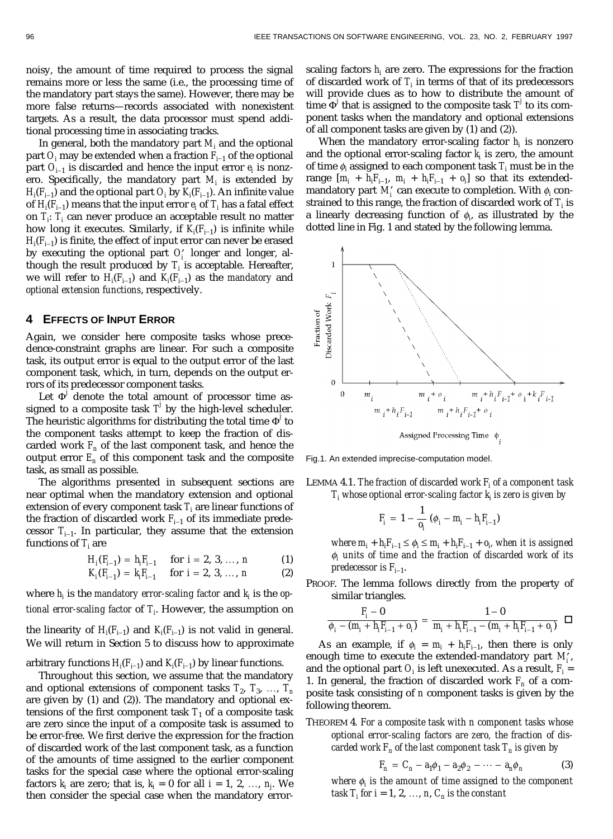noisy, the amount of time required to process the signal remains more or less the same (i.e., the processing time of the mandatory part stays the same). However, there may be more false returns—records associated with nonexistent targets. As a result, the data processor must spend additional processing time in associating tracks.

In general, both the mandatory part  $M_i$  and the optional part *Oi* may be extended when a fraction *Fi*-1 of the optional part  $O_{i-1}$  is discarded and hence the input error  $e_i$  is nonzero. Specifically, the mandatory part  $M_i$  is extended by  $H_i(F_{i-1})$  and the optional part  $O_i$  by  $K_i(F_{i-1})$ . An infinite value of  $H_i$ ( $F_{i-1}$ ) means that the input error  $e_i$  of  $T_i$  has a fatal effect on *Ti* : *Ti* can never produce an acceptable result no matter how long it executes. Similarly, if *Ki* (*Fi*-1) is infinite while  $H_{i}(F_{i-1})$  is finite, the effect of input error can never be erased by executing the optional part *O*<sup> $\prime$ </sup> longer and longer, although the result produced by  $T_i$  is acceptable. Hereafter,  $\overline{a}$ we will refer to  $H_i(F_{i-1})$  and  $K_i(F_{i-1})$  as the *mandatory* and *optional extension functions*, respectively.

## **4 EFFECTS OF INPUT ERROR**

Again, we consider here composite tasks whose precedence-constraint graphs are linear. For such a composite task, its output error is equal to the output error of the last component task, which, in turn, depends on the output errors of its predecessor component tasks.

Let  $\Phi^j$  denote the total amount of processor time assigned to a composite task  $T^j$  by the high-level scheduler. The heuristic algorithms for distributing the total time  $\Phi^j$  to the component tasks attempt to keep the fraction of discarded work  $F_n$  of the last component task, and hence the output error  $E_n$  of this component task and the composite task, as small as possible.

The algorithms presented in subsequent sections are near optimal when the mandatory extension and optional extension of every component task  $\,_{i}$  are linear functions of the fraction of discarded work  $F_{i-1}$  of its immediate predecessor  $T_{i-1}$ . In particular, they assume that the extension functions of  $T_i$  are

$$
H_i(F_{i-1}) = h_i F_{i-1} \quad \text{for } i = 2, 3, ..., n \tag{1}
$$
  
\n
$$
K_i(F_{i-1}) = k_i F_{i-1} \quad \text{for } i = 2, 3, ..., n \tag{2}
$$

where *hi* is the *mandatory error-scaling factor* and *ki* is the *optional error-scaling factor* of *Ti* . However, the assumption on

the linearity of  $H_i(F_{i-1})$  and  $K_i(F_{i-1})$  is not valid in general. We will return in Section 5 to discuss how to approximate

arbitrary functions  $H_i(F_{i-1})$  and  $K_i(F_{i-1})$  by linear functions.

Throughout this section, we assume that the mandatory and optional extensions of component tasks  $T_2$ ,  $T_3$ , ...,  $T_n$ are given by (1) and (2)). The mandatory and optional extensions of the first component task  $T_1$  of a composite task are zero since the input of a composite task is assumed to be error-free. We first derive the expression for the fraction of discarded work of the last component task, as a function of the amounts of time assigned to the earlier component tasks for the special case where the optional error-scaling factors  $k_i$  are zero; that is,  $k_i = 0$  for all  $i = 1, 2, ..., n_j$ . We then consider the special case when the mandatory errorscaling factors  $h_i$  are zero. The expressions for the fraction of discarded work of  $T_i$  in terms of that of its predecessors will provide clues as to how to distribute the amount of time  $\mathbf{\dot{\Phi}}^{j}$  that is assigned to the composite task  $T^{j}$  to its component tasks when the mandatory and optional extensions of all component tasks are given by (1) and (2)).

When the mandatory error-scaling factor *hi* is nonzero and the optional error-scaling factor *ki* is zero, the amount of time  $\phi_i$  assigned to each component task  $T_i$  must be in the range  $[m_i + h_i F_{i-1}, m_i + h_i F_{i-1} + o_i]$  so that its extendedmandatory part  $M'_i$  can execute to completion. With  $\phi_i$  constrained to this range, the fraction of discarded work of  $T_i$  is a linearly decreasing function of  $\phi_{i}$  as illustrated by the dotted line in Fig. 1 and stated by the following lemma.



Fig.1. An extended imprecise-computation model.

LEMMA 4.1. *The fraction of discarded work Fi of a component task*  $T_i$  whose optional error-scaling factor  $k_i$  is zero is given by

$$
F_i = 1 - \frac{1}{o_i} (\phi_i - m_i - h_i F_{i-1})
$$

*where*  $m_i + h_i F_{i-1} \leq \phi_i \leq m_i + h_i F_{i-1} + o_i$ *, when it is assigned*  $\phi_i$  units of time and the fraction of discarded work of its *predecessor is*  $F_{i-1}$ .

PROOF. The lemma follows directly from the property of similar triangles.

$$
\frac{F_i - 0}{\phi_i - (m_i + h_i F_{i-1} + o_i)} = \frac{1 - 0}{m_i + h_i F_{i-1} - (m_i + h_i F_{i-1} + o_i)} \quad \Box
$$

As an example, if  $\phi_i = m_i + h_i F_{i-1}$ , then there is only enough time to execute the extended-mandatory part  $M'_{i}$  , and the optional part  $O_i$  is left unexecuted. As a result,  $F_i$  = 1. In general, the fraction of discarded work  $F_n$  of a composite task consisting of *n* component tasks is given by the following theorem.

THEOREM 4*. For a composite task with n component tasks whose optional error-scaling factors are zero, the fraction of discarded work*  $F_n$  *of the last component task*  $T_n$  *is given by* 

$$
F_n = C_n - a_1 \phi_1 - a_2 \phi_2 - \dots - a_n \phi_n \tag{3}
$$

*where*  $\phi_i$  *is the amount of time assigned to the component task*  $T_i$  *for*  $i = 1, 2, ..., n$ ,  $C_n$  *is the constant*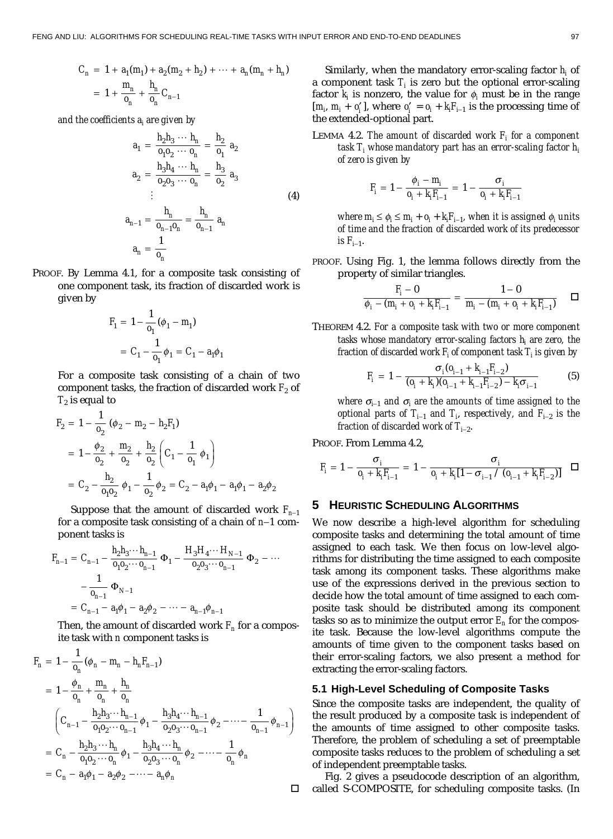$$
C_n = 1 + a_1(m_1) + a_2(m_2 + h_2) + \dots + a_n(m_n + h_n)
$$
  
= 1 +  $\frac{m_n}{o_n}$  +  $\frac{h_n}{o_n}$ C<sub>n-1</sub>

*and the coefficients ai are given by*

$$
a_1 = \frac{h_2 h_3 \cdots h_n}{o_1 o_2 \cdots o_n} = \frac{h_2}{o_1} a_2
$$
  
\n
$$
a_2 = \frac{h_3 h_4 \cdots h_n}{o_2 o_3 \cdots o_n} = \frac{h_3}{o_2} a_3
$$
  
\n:  
\n:  
\n
$$
a_{n-1} = \frac{h_n}{o_{n-1} o_n} = \frac{h_n}{o_{n-1}} a_n
$$
  
\n
$$
a_n = \frac{1}{o_n}
$$
 (4)

PROOF. By Lemma 4.1, for a composite task consisting of one component task, its fraction of discarded work is given by

$$
F_1 = 1 - \frac{1}{o_1} (\phi_1 - m_1)
$$
  
=  $C_1 - \frac{1}{o_1} \phi_1 = C_1 - a_1 \phi_1$ 

For a composite task consisting of a chain of two component tasks, the fraction of discarded work  $F_2$  of  $T_2$  is equal to

$$
F_2 = 1 - \frac{1}{o_2} (\phi_2 - m_2 - h_2 F_1)
$$
  
=  $1 - \frac{\phi_2}{o_2} + \frac{m_2}{o_2} + \frac{h_2}{o_2} \left( C_1 - \frac{1}{o_1} \phi_1 \right)$   
=  $C_2 - \frac{h_2}{o_1 o_2} \phi_1 - \frac{1}{o_2} \phi_2 = C_2 - a_1 \phi_1 - a_1 \phi_1 - a_2 \phi_2$ 

Suppose that the amount of discarded work  $F_{n-1}$ for a composite task consisting of a chain of *n*-1 component tasks is

$$
F_{n-1} = C_{n-1} - \frac{h_2 h_3 \cdots h_{n-1}}{o_1 o_2 \cdots o_{n-1}} \Phi_1 - \frac{H_3 H_4 \cdots H_{N-1}}{o_2 o_3 \cdots o_{n-1}} \Phi_2 - \cdots
$$

$$
-\frac{1}{o_{n-1}} \Phi_{N-1}
$$

$$
= C_{n-1} - a_1 \phi_1 - a_2 \phi_2 - \cdots - a_{n-1} \phi_{n-1}
$$

Then, the amount of discarded work  $F_n$  for a composite task with *n* component tasks is

$$
F_n = 1 - \frac{1}{o_n} (\phi_n - m_n - h_n F_{n-1})
$$
  
=  $1 - \frac{\phi_n}{o_n} + \frac{m_n}{o_n} + \frac{h_n}{o_n}$   

$$
\left(C_{n-1} - \frac{h_2 h_3 \cdots h_{n-1}}{o_1 o_2 \cdots o_{n-1}} \phi_1 - \frac{h_3 h_4 \cdots h_{n-1}}{o_2 o_3 \cdots o_{n-1}} \phi_2 - \cdots - \frac{1}{o_{n-1}} \phi_{n-1}\right)
$$
  
=  $C_n - \frac{h_2 h_3 \cdots h_n}{o_1 o_2 \cdots o_n} \phi_1 - \frac{h_3 h_4 \cdots h_n}{o_2 o_3 \cdots o_n} \phi_2 - \cdots - \frac{1}{o_n} \phi_n$   
=  $C_n - a_1 \phi_1 - a_2 \phi_2 - \cdots - a_n \phi_n$ 

Similarly, when the mandatory error-scaling factor *hi* of a component task  $T_i$  is zero but the optional error-scaling factor  $k_i$  is nonzero, the value for  $\phi_i$  must be in the range  $[m_i, m_i + o'_i]$ , where  $o'_i = o_i + k_i F_{i-1}$  is the processing time of the extended-optional part.

LEMMA 4.2. *The amount of discarded work Fi for a component task Ti whose mandatory part has an error-scaling factor hi of zero is given by*

$$
F_i = 1 - \frac{\phi_i - m_i}{o_i + k_i F_{i-1}} = 1 - \frac{\sigma_i}{o_i + k_i F_{i-1}}
$$

*where*  $m_i \leq \phi_i \leq m_i + o_i + k_i F_{i-1}$ *, when it is assigned*  $\phi_i$  *units of time and the fraction of discarded work of its predecessor is*  $F_{i-1}$ .

PROOF. Using Fig. 1, the lemma follows directly from the property of similar triangles.

$$
\frac{F_i - 0}{\phi_i - (m_i + o_i + k_i F_{i-1})} = \frac{1 - 0}{m_i - (m_i + o_i + k_i F_{i-1})} \quad \Box
$$

THEOREM 4.2. *For a composite task with two or more component tasks whose mandatory error-scaling factors hi are zero, the fraction of discarded work Fi of component task Ti is given by*

$$
F_{i} = 1 - \frac{\sigma_{i}(o_{i-1} + k_{i-1}F_{i-2})}{(o_{i} + k_{i})(o_{i-1} + k_{i-1}F_{i-2}) - k_{i}\sigma_{i-1}}
$$
(5)

*where*  $\sigma_{i-1}$  *and*  $\sigma_i$  *are the amounts of time assigned to the optional parts of*  $T_{i-1}$  *and*  $T_i$ *, respectively, and*  $F_{i-2}$  *is the fraction of discarded work of*  $T_{i-2}$ .

PROOF. From Lemma 4.2,

$$
F_i = 1 - \frac{\sigma_i}{o_i + k_i F_{i-1}} = 1 - \frac{\sigma_i}{o_i + k_i [1 - \sigma_{i-1} / (o_{i-1} + k_i F_{i-2})]} \quad \Box
$$

# **5 HEURISTIC SCHEDULING ALGORITHMS**

We now describe a high-level algorithm for scheduling composite tasks and determining the total amount of time assigned to each task. We then focus on low-level algorithms for distributing the time assigned to each composite task among its component tasks. These algorithms make use of the expressions derived in the previous section to decide how the total amount of time assigned to each composite task should be distributed among its component tasks so as to minimize the output error  $E_n$  for the composite task. Because the low-level algorithms compute the amounts of time given to the component tasks based on their error-scaling factors, we also present a method for extracting the error-scaling factors.

## **5.1 High-Level Scheduling of Composite Tasks**

Since the composite tasks are independent, the quality of the result produced by a composite task is independent of the amounts of time assigned to other composite tasks. Therefore, the problem of scheduling a set of preemptable composite tasks reduces to the problem of scheduling a set of independent preemptable tasks.

Fig. 2 gives a pseudocode description of an algorithm, called S-COMPOSITE, for scheduling composite tasks. (In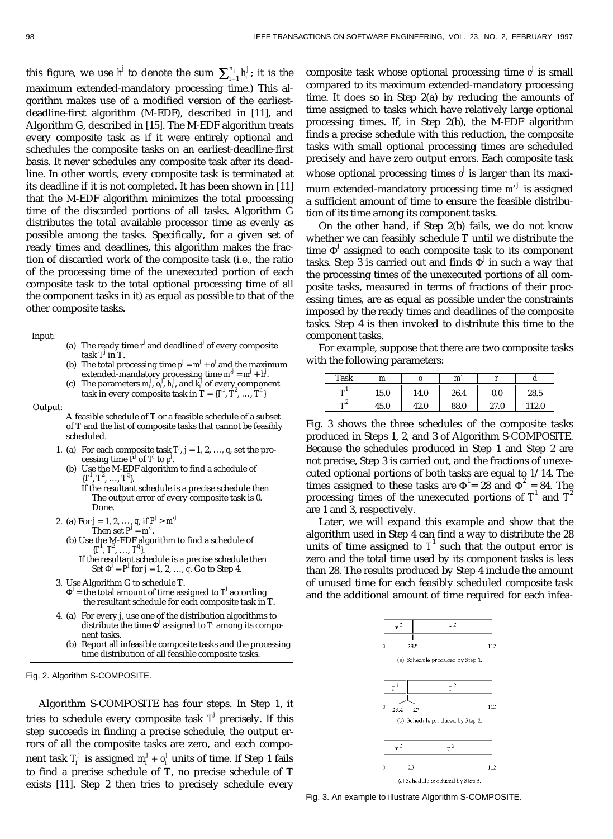this figure, we use  $h^j$  to denote the sum  $\sum_{i=1}^n h^j$  $\sum_{i=1}^{n_j} h_i^j$ ; it is the maximum extended-mandatory processing time.) This algorithm makes use of a modified version of the earliestdeadline-first algorithm (M-EDF), described in [11], and Algorithm G, described in [15]. The M-EDF algorithm treats every composite task as if it were entirely optional and schedules the composite tasks on an earliest-deadline-first basis. It never schedules any composite task after its deadline. In other words, every composite task is terminated at its deadline if it is not completed. It has been shown in [11] that the M-EDF algorithm minimizes the total processing time of the discarded portions of all tasks. Algorithm G distributes the total available processor time as evenly as possible among the tasks. Specifically, for a given set of ready times and deadlines, this algorithm makes the fraction of discarded work of the composite task (i.e., the ratio of the processing time of the unexecuted portion of each composite task to the total optional processing time of all the component tasks in it) as equal as possible to that of the other composite tasks.

#### Input:

- (a) The ready time  $r^j$  and deadline  $d^j$  of every composite task *Tj* in **T**.
	- (b) The total processing time  $p^j = m^j + o^j$  and the maximum extended-mandatory processing time  $m^{j} = m^{j} + h^{j}$ .
	- (c) The parameters  $m_i^j$ ,  $o_i^f$ ,  $h_i^j$ , and  $k_i^j$  of every component task in every composite task in  $\mathbf{T} = \{T^1, \tilde{T}^2, ..., T^n\}$

Output:

- A feasible schedule of **T** or a feasible schedule of a subset of **T** and the list of composite tasks that cannot be feasibly scheduled.
- 1. (a) For each composite task  $\overrightarrow{T}$ ,  $j = 1, 2, ..., q$ , set the processing time  $\dot{P}^j$  of  $T^j$  to  $p^j$ .
	- (b) Use the M-EDF algorithm to find a schedule of  $\{T^1, T^2, \ldots, T^q\}.$ 
		- If the resultant schedule is a precise schedule then The output error of every composite task is 0. Done.
- 2. (a) For  $j = 1, 2, ..., q$ , if  $P^j > m^{j}$ Then set  $P^j = m^{j}$ .
	- (b) Use the M-EDF algorithm to find a schedule of  $\{T^1, T^2, ..., T^q\}$ . ,  $T^2$ , ...,  $T^q$ }.
	- If the resultant schedule is a precise schedule then Set  $\Phi^j = P^j$  for  $j = 1, 2, ..., q$ . Go to Step 4.
- 3. Use Algorithm G to schedule **T**.  $\Phi^j$  = the total amount of time assigned to  $T^j$  according the resultant schedule for each composite task in **T**.
- 4. (a) For every *j*, use one of the distribution algorithms to distribute the time  $\Phi^j$  assigned to  $T^j$  among its component tasks.
	- (b) Report all infeasible composite tasks and the processing time distribution of all feasible composite tasks.

Fig. 2. Algorithm S-COMPOSITE.

Algorithm S-COMPOSITE has four steps. In Step 1, it tries to schedule every composite task  $\mathit{T}^{j}$  precisely. If this step succeeds in finding a precise schedule, the output errors of all the composite tasks are zero, and each component task  $T_i^j$  is assigned  $m_i^j + o_i^j$  units of time. If Step 1 fails to find a precise schedule of **T**, no precise schedule of **T** exists [11]. Step 2 then tries to precisely schedule every

composite task whose optional processing time  $\rho^j$  is small compared to its maximum extended-mandatory processing time. It does so in Step 2(a) by reducing the amounts of time assigned to tasks which have relatively large optional processing times. If, in Step 2(b), the M-EDF algorithm finds a precise schedule with this reduction, the composite tasks with small optional processing times are scheduled precisely and have zero output errors. Each composite task whose optional processing times  $o^j$  is larger than its maximum extended-mandatory processing time  $m'^{j}$  is assigned a sufficient amount of time to ensure the feasible distribution of its time among its component tasks.

On the other hand, if Step 2(b) fails, we do not know whether we can feasibly schedule **T** until we distribute the time  $\Phi^j$  assigned to each composite task to its component tasks. Step 3 is carried out and finds  $\Phi^j$  in such a way that the processing times of the unexecuted portions of all composite tasks, measured in terms of fractions of their processing times, are as equal as possible under the constraints imposed by the ready times and deadlines of the composite tasks. Step 4 is then invoked to distribute this time to the component tasks.

For example, suppose that there are two composite tasks with the following parameters:

| Task           | m    |      | m    |      |       |
|----------------|------|------|------|------|-------|
| ∽ու            | 15.0 | 14.0 | 26.4 | 0.0  | 28.5  |
| $\mathbf{r}^2$ | 45.0 | 42.0 | 88.0 | 27.0 | 112.0 |

Fig. 3 shows the three schedules of the composite tasks produced in Steps 1, 2, and 3 of Algorithm S-COMPOSITE. Because the schedules produced in Step 1 and Step 2 are not precise, Step 3 is carried out, and the fractions of unexecuted optional portions of both tasks are equal to 1/14. The times assigned to these tasks are  $\Phi^1 = 28$  and  $\Phi^2 = 84$ . The processing times of the unexecuted portions of  $T^1$  and  $T^2$ are 1 and 3, respectively.

Later, we will expand this example and show that the algorithm used in Step 4 can find a way to distribute the 28 units of time assigned to  $T^1$  such that the output error is zero and the total time used by its component tasks is less than 28. The results produced by Step 4 include the amount of unused time for each feasibly scheduled composite task and the additional amount of time required for each infea-



Fig. 3. An example to illustrate Algorithm S-COMPOSITE.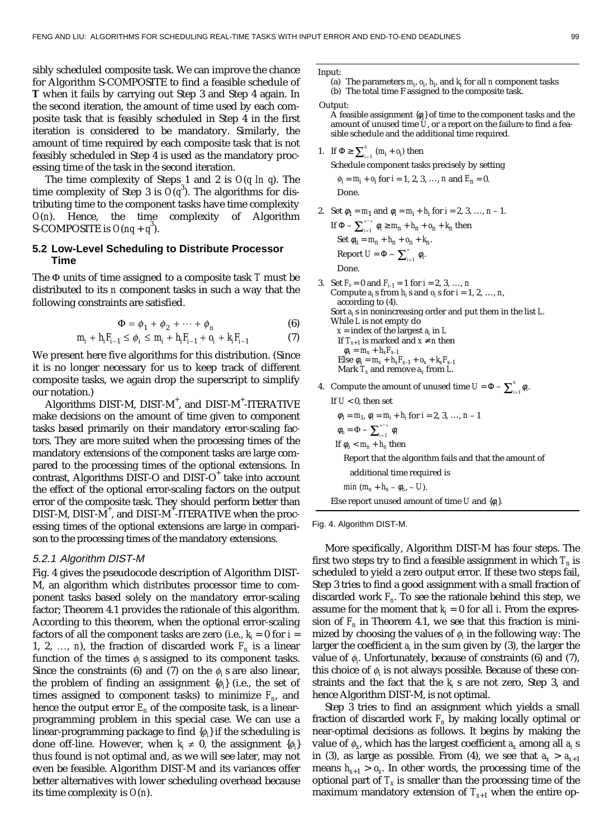sibly scheduled composite task. We can improve the chance for Algorithm S-COMPOSITE to find a feasible schedule of **T** when it fails by carrying out Step 3 and Step 4 again. In the second iteration, the amount of time used by each composite task that is feasibly scheduled in Step 4 in the first iteration is considered to be mandatory. Similarly, the amount of time required by each composite task that is not feasibly scheduled in Step 4 is used as the mandatory processing time of the task in the second iteration.

The time complexity of Steps 1 and 2 is *O*(*q ln q*). The time complexity of Step 3 is  $O(q^3)$ . The algorithms for distributing time to the component tasks have time complexity *O*(*n*). Hence, the time complexity of Algorithm S-COMPOSITE is  $O(nq + q^3)$ .

# **5.2 Low-Level Scheduling to Distribute Processor Time**

The  $\Phi$  units of time assigned to a composite task *T* must be distributed to its *n* component tasks in such a way that the following constraints are satisfied.

$$
\Phi = \phi_1 + \phi_2 + \dots + \phi_n \tag{6}
$$

$$
m_i + h_i F_{i-1} \le \phi_i \le m_i + h_i F_{i-1} + o_i + k_i F_{i-1} \tag{7}
$$

We present here five algorithms for this distribution. (Since it is no longer necessary for us to keep track of different composite tasks, we again drop the superscript to simplify our notation.)

Algorithms DIST-M, DIST-M<sup>+</sup>, and DIST-M<sup>+</sup>-ITERATIVE make decisions on the amount of time given to component tasks based primarily on their mandatory error-scaling factors. They are more suited when the processing times of the mandatory extensions of the component tasks are large compared to the processing times of the optional extensions. In contrast, Algorithms DIST-O and DIST-O<sup>+</sup> take into account the effect of the optional error-scaling factors on the output error of the composite task. They should perform better than DIST-M, DIST-M<sup>+</sup>, and DIST-M<sup>+</sup>-ITERATIVE when the processing times of the optional extensions are large in comparison to the processing times of the mandatory extensions.

### 5.2.1 Algorithm DIST-M

Fig. 4 gives the pseudocode description of Algorithm DIST-M, an algorithm which *dist*ributes processor time to component tasks based solely on the *m*andatory error-scaling factor; Theorem 4.1 provides the rationale of this algorithm. According to this theorem, when the optional error-scaling factors of all the component tasks are zero (i.e.,  $k_i = 0$  for  $i =$ 1, 2, ..., *n*), the fraction of discarded work  $F_n$  is a linear function of the times  $\phi_i$ s assigned to its component tasks. Since the constraints (6) and (7) on the  $\phi_i$  s are also linear, the problem of finding an assignment {*f<sup>i</sup>* } (i.e., the set of times assigned to component tasks) to minimize  $F_n$ , and hence the output error  $E_n$  of the composite task, is a linearprogramming problem in this special case. We can use a linear-programming package to find {*f<sup>i</sup>* } if the scheduling is done off-line. However, when  $k_i \neq 0$ , the assignment  $\{\phi_i\}$ thus found is not optimal and, as we will see later, may not even be feasible. Algorithm DIST-M and its variances offer better alternatives with lower scheduling overhead because its time complexity is *O*(*n*).

#### Input:

- (a) The parameters  $m_i$ ,  $o_i$ ,  $h_i$ , and  $k_i$  for all *n* component tasks
- (b) The total time F assigned to the composite task.

Output:

A feasible assignment {φ*<sup>i</sup>* } of time to the component tasks and the amount of unused time *U*, or a report on the failure to find a feasible schedule and the additional time required.

1. If  $\Phi \ge \sum_{i=1}^n (m_i + o_i)$  then

Schedule component tasks precisely by setting

$$
\phi_i = m_i + o_i
$$
 for  $i = 1, 2, 3, ..., n$  and  $E_n = 0$ .  
Done.

2. Set 
$$
\phi_1 = m_1
$$
 and  $\phi_i = m_i + h_i$  for  $i = 2, 3, ..., n - 1$ .

If  $\Phi$  –  $\sum_{i}^{n}$ = - 1  $\sum_{i=1}^{n-1} \phi_i \ge m_n + h_n + o_n + k_n$  then Set  $\phi_n = m_n + h_n + o_n + k_n$ . Report  $U = \Phi - \sum_{i=1}^{n} \phi_i$ .

Done.

- 3. Set  $F_0 = 0$  and  $F_{i-1} = 1$  for  $i = 2, 3, ..., n$ Compute  $a_i$  s from  $h_i$  s and  $o_i$  s for  $i = 1, 2, ..., n$ , according to (4). Sort *ai* s in nonincreasing order and put them in the list *L*. While *L* is not empty do  $x =$  index of the largest  $a_i$  in  $L$ If  $T_{x+1}$  is marked and  $x \neq n$  then  $\phi_x = m_x + h_x F_{x-1}$ Else  $\phi_x = m_x + h_x F_{x-1} + o_x + k_x F_{x-1}$ Mark  $T_x$  and remove  $a_x$  from *L*.
- 4. Compute the amount of unused time  $U = \Phi \sum_{i=1}^{n} \phi_i$ .

If 
$$
U < 0
$$
, then set  
\n $\phi_1 = m_1$ ,  $\phi_i = m_i + h_i$  for  $i = 2, 3, \ldots, n - 1$   
\n $\phi_n = \Phi - \sum_{i=1}^{n-1} \phi_i$   
\nIf  $\phi_n < m_n + h_n$  then  
\nReport that the algorithm fails and that the amount of  
\nadditional time required is  
\n $min (m_n + h_n - \phi_n - U)$ .  
\nElse report unused amount of time  $U$  and  $\{\phi_i\}$ .

Fig. 4. Algorithm DIST-M.

More specifically, Algorithm DIST-M has four steps. The first two steps try to find a feasible assignment in which  $T_n$  is scheduled to yield a zero output error. If these two steps fail, Step 3 tries to find a good assignment with a small fraction of discarded work  $F_n$ . To see the rationale behind this step, we assume for the moment that  $k_i = 0$  for all *i*. From the expression of  $F_n$  in Theorem 4.1, we see that this fraction is minimized by choosing the values of  $\phi_i$  in the following way: The larger the coefficient *ai* in the sum given by (3), the larger the value of  $\phi$ <sub>*i*</sub>. Unfortunately, because of constraints (6) and (7), this choice of  $\phi_i$  is not always possible. Because of these constraints and the fact that the  $k_i$  s are not zero, Step 3, and hence Algorithm DIST-M, is not optimal.

Step 3 tries to find an assignment which yields a small fraction of discarded work  $F<sub>n</sub>$  by making locally optimal or near-optimal decisions as follows. It begins by making the value of  $\phi_x$ , which has the largest coefficient  $a_x$  among all  $a_i$  s in (3), as large as possible. From (4), we see that  $a_x > a_{x+1}$ means  $h_{x+1} > o_x$ . In other words, the processing time of the optional part of  $T_x$  is smaller than the processing time of the maximum mandatory extension of  $T_{x+1}$  when the entire op-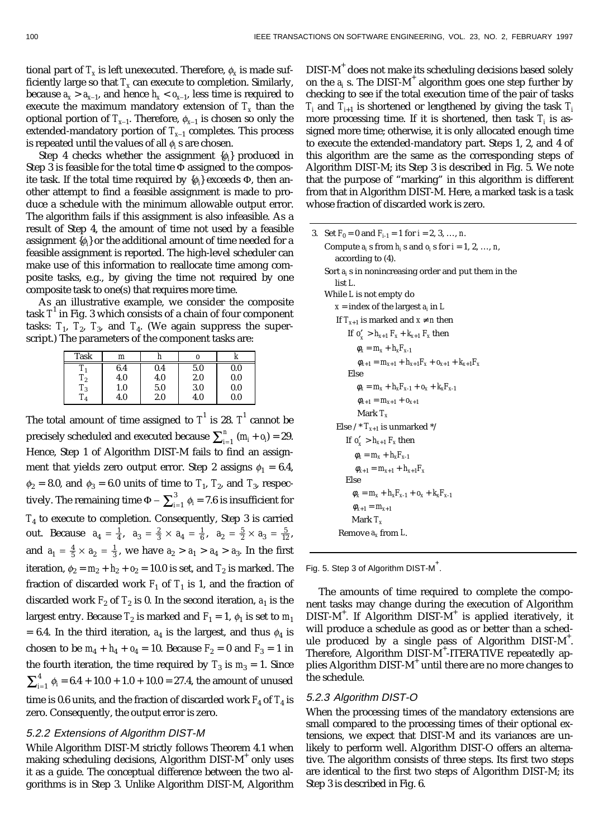tional part of  $T_r$  is left unexecuted. Therefore,  $\phi_r$  is made sufficiently large so that  $T_x$  can execute to completion. Similarly, because  $a_x > a_{x-1}$ , and hence  $h_x < a_{x-1}$ , less time is required to execute the maximum mandatory extension of  $T<sub>x</sub>$  than the optional portion of  $T_{x-1}$ . Therefore,  $\phi_{x-1}$  is chosen so only the extended-mandatory portion of  $T_{x-1}$  completes. This process is repeated until the values of all  $\phi_i$  s are chosen.

Step 4 checks whether the assignment {*f<sup>i</sup>* } produced in Step 3 is feasible for the total time  $\Phi$  assigned to the composite task. If the total time required by  $\{\phi_i\}$  exceeds  $\Phi$ , then another attempt to find a feasible assignment is made to produce a schedule with the minimum allowable output error. The algorithm fails if this assignment is also infeasible. As a result of Step 4, the amount of time not used by a feasible assignment {*f<sup>i</sup>* } or the additional amount of time needed for a feasible assignment is reported. The high-level scheduler can make use of this information to reallocate time among composite tasks, e.g., by giving the time not required by one composite task to one(s) that requires more time.

As an illustrative example, we consider the composite task  $\overline{T}^1$  in Fig. 3 which consists of a chain of four component tasks:  $T_1$ ,  $T_2$ ,  $T_3$ , and  $T_4$ . (We again suppress the superscript.) The parameters of the component tasks are:

| Task               | m       | 11  |     |     |
|--------------------|---------|-----|-----|-----|
| $T_{1}$            | 6.4     | 0.4 | 5.0 | 0.0 |
| $T_{2}$            | 4.0     | 4.0 | 2.0 | 0.0 |
| $\scriptstyle T_3$ | $1.0\,$ | 5.0 | 3.0 | 0.0 |
| T.<br>- 4          | 4.0     | 2.0 | 4.0 | 0.0 |

The total amount of time assigned to  $\overline{\mathit{I}}^{1}$  is 28.  $\overline{\mathit{I}}^{1}$  cannot be precisely scheduled and executed because  $\sum_{i=1}^{n} (m_i + o_i) = 29$ . Hence, Step 1 of Algorithm DIST-M fails to find an assignment that yields zero output error. Step 2 assigns  $\phi_1 = 6.4$ ,  $\phi_2$  = 8.0, and  $\phi_3$  = 6.0 units of time to *T*<sub>1</sub>, *T*<sub>2</sub>, and *T*<sub>3</sub>, respectively. The remaining time  $\Phi$  –  $\sum_{i=1}^{3} \phi_i$  = 7.6 is insufficient for *T*4 to execute to completion. Consequently, Step 3 is carried out. Because  $a_4 = \frac{1}{4}$ ,  $a_3 = \frac{2}{3} \times a_4 = \frac{1}{6}$ ,  $a_2 = \frac{5}{2} \times a_3 = \frac{5}{12}$ , and  $a_1 = \frac{4}{5} \times a_2 = \frac{1}{3}$ , we have  $a_2 > a_1 > a_4 > a_3$ . In the first iteration,  $\phi_2 = m_2 + h_2 + o_2 = 10.0$  is set, and  $T_2$  is marked. The fraction of discarded work  $F_1$  of  $T_1$  is 1, and the fraction of discarded work  $F_2$  of  $T_2$  is 0. In the second iteration,  $a_1$  is the largest entry. Because  $T_2$  is marked and  $F_1 = 1$ ,  $\phi_1$  is set to  $m_1$ = 6.4. In the third iteration,  $a_4$  is the largest, and thus  $\phi_4$  is chosen to be  $m_4 + h_4 + o_4 = 10$ . Because  $F_2 = 0$  and  $F_3 = 1$  in the fourth iteration, the time required by  $T_3$  is  $m_3 = 1$ . Since *i*=1  $\sum_{i=1}^{4} \phi_i = 6.4 + 10.0 + 1.0 + 10.0 = 27.4$ , the amount of unused time is 0.6 units, and the fraction of discarded work  $F_4$  of  $T_4$  is zero. Consequently, the output error is zero.

#### 5.2.2 Extensions of Algorithm DIST-M

While Algorithm DIST-M strictly follows Theorem 4.1 when making scheduling decisions, Algorithm DIST-M<sup>+</sup> only uses it as a guide. The conceptual difference between the two algorithms is in Step 3. Unlike Algorithm DIST-M, Algorithm

 $\text{DIST-M}^{\text{+}}$  does not make its scheduling decisions based solely on the  $a_i$  s. The DIST-M<sup>+</sup> algorithm goes one step further by checking to see if the total execution time of the pair of tasks  $T_i$  and  $T_{i+1}$  is shortened or lengthened by giving the task  $T_i$ more processing time. If it is shortened, then task  $T_i$  is assigned more time; otherwise, it is only allocated enough time to execute the extended-mandatory part. Steps 1, 2, and 4 of this algorithm are the same as the corresponding steps of Algorithm DIST-M; its Step 3 is described in Fig. 5. We note that the purpose of "marking" in this algorithm is different from that in Algorithm DIST-M. Here, a marked task is a task whose fraction of discarded work is zero.

| 3. Set $F_0 = 0$ and $F_{i-1} = 1$ for $i = 2, 3, , n$ .       |
|----------------------------------------------------------------|
| Compute $a_i$ s from $h_i$ s and $o_i$ s for $i = 1, 2, , n$ , |
| according to (4).                                              |
| Sort $a_i$ s in nonincreasing order and put them in the        |
| list L.                                                        |
| While L is not empty do                                        |
| $x = \text{index of the largest } a_i$ in L                    |
| If $T_{x+1}$ is marked and $x \neq n$ then                     |
| If $o'_x > h_{x+1} F_x + k_{x+1} F_x$ then                     |
| $\phi_{v} = m_{v} + h_{v} F_{v,1}$                             |
| $\phi_{v+1} = m_{v+1} + h_{v+1}F_v + o_{v+1} + k_{v+1}F_v$     |
| Else                                                           |
| $\phi_{v} = m_{v} + h_{v} F_{v,1} + o_{v} + k_{v} F_{v,1}$     |
| $\phi_{x+1} = m_{x+1} + o_{x+1}$                               |
| Mark $T_{\rm v}$                                               |
| Else /* $T_{x+1}$ is unmarked */                               |
| If $o'_r > h_{x+1} F_x$ then                                   |
| $\phi_r = m_r + h_r F_{r-1}$                                   |
| $\phi_{v+1} = m_{v+1} + h_{v+1}F_v$                            |
| Else                                                           |
| $\phi_{v} = m_{v} + h_{v} F_{v,1} + o_{v} + k_{v} F_{v,1}$     |
| $\phi_{x+1} = m_{x+1}$                                         |
| Mark $T_{x}$                                                   |
| Remove $a_x$ from L.                                           |

Fig. 5. Step 3 of Algorithm DIST-M $^+$ .

The amounts of time required to complete the component tasks may change during the execution of Algorithm  $DIST-M^+$ . If Algorithm  $DIST-M^+$  is applied iteratively, it will produce a schedule as good as or better than a schedule produced by a single pass of Algorithm DIST-M<sup>+</sup>. Therefore, Algorithm DIST-M<sup>+</sup>-ITERATIVE repeatedly applies Algorithm DIST-M<sup>+</sup> until there are no more changes to the schedule.

#### 5.2.3 Algorithm DIST-O

When the processing times of the mandatory extensions are small compared to the processing times of their optional extensions, we expect that DIST-M and its variances are unlikely to perform well. Algorithm DIST-O offers an alternative. The algorithm consists of three steps. Its first two steps are identical to the first two steps of Algorithm DIST-M; its Step 3 is described in Fig. 6.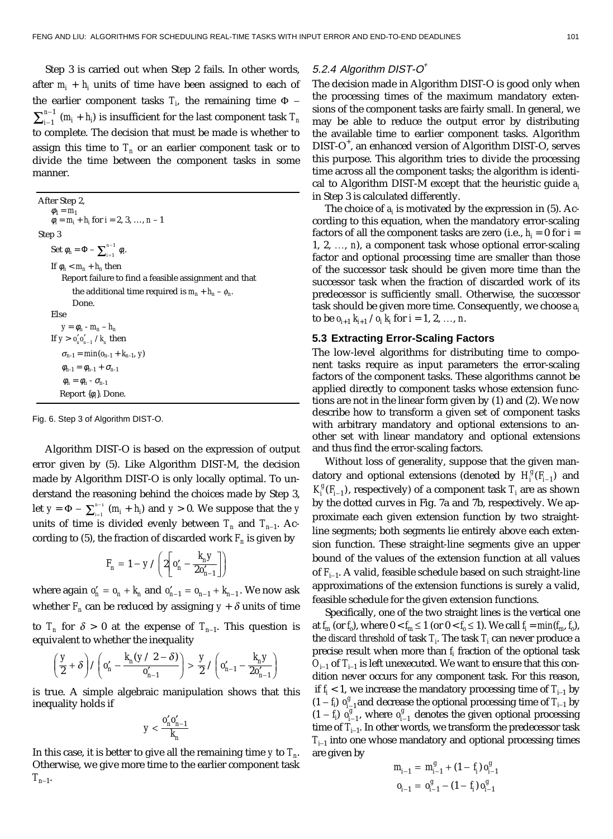Step 3 is carried out when Step 2 fails. In other words, after  $m_i + h_i$  units of time have been assigned to each of the earlier component tasks  $T_{\scriptscriptstyle \hat{p}}$  the remaining time  $\Phi$  – *i n* - - 1  $\sum_{i=1}^{n-1} (m_i + h_i)$  is insufficient for the last component task  $T_n$ to complete. The decision that must be made is whether to assign this time to  $T_n$  or an earlier component task or to divide the time between the component tasks in some manner.

After Step 2,  $\phi_1 = m_1$  $\phi_i = m_i + h_i$  for  $i = 2, 3, ..., n - 1$ Step 3 Set  $\phi_n = \Phi - \sum_{i=1}^n$ = - 1  $\sum_{i=1}^{n-1} \phi_i$ If  $\phi_n < m_n + h_n$  then Report failure to find a feasible assignment and that the additional time required is  $m_n + h_n - \phi_n$ . Done. Else  $y = \phi_n - m_n - h_n$ If  $y > o'_{n} o'_{n-1} / k_{n}$  then  $\sigma_{n-1} = min(o_{n-1} + k_{n-1}, y)$  $\phi_{n-1} = \phi_{n-1} + \sigma_{n-1}$  $\phi_n = \phi_n - \sigma_{n-1}$ Report {φ*i*}. Done.

Fig. 6. Step 3 of Algorithm DIST-O.

Algorithm DIST-O is based on the expression of output error given by (5). Like Algorithm DIST-M, the decision made by Algorithm DIST-O is only locally optimal. To understand the reasoning behind the choices made by Step 3, let  $y = \Phi - \sum_{i}^{n}$ = - 1  $\sum_{i=1}^{n-1}$   $(m_i + h_i)$  and  $y > 0$ . We suppose that the *y* units of time is divided evenly between  $T_n$  and  $T_{n-1}$ . According to (5), the fraction of discarded work  $F_n$  is given by

$$
F_n = 1 - y \bigm/ \left( 2 \left[ \overline{o'_n} - \frac{k_n y}{2 \overline{o'_{n-1}}} \right] \right)
$$

where again  $o'_n = o_n + k_n$  and  $o'_{n-1} = o_{n-1} + k_{n-1}$ . We now ask whether  $F_n$  can be reduced by assigning  $y + \delta$  units of time to  $T_n$  for  $\delta > 0$  at the expense of  $T_{n-1}$ . This question is equivalent to whether the inequality

$$
\left(\frac{y}{2}+\delta\right) / \left(\sigma'_{n} - \frac{k_{n}(y/2-\delta)}{\sigma'_{n-1}}\right) > \frac{y}{2} / \left(\sigma'_{n-1} - \frac{k_{n}y}{2\sigma'_{n-1}}\right)
$$

is true. A simple algebraic manipulation shows that this inequality holds if

$$
y < \frac{o'_n o'_{n-1}}{k_n}
$$

In this case, it is better to give all the remaining time  $y$  to  $T_n$ . Otherwise, we give more time to the earlier component task  $T_{n-1}$ .

# 5.2.4 Algorithm DIST-O<sup>+</sup>

The decision made in Algorithm DIST-O is good only when the processing times of the maximum mandatory extensions of the component tasks are fairly small. In general, we may be able to reduce the output error by distributing the available time to earlier component tasks. Algorithm DIST-O<sup>+</sup>, an enhanced version of Algorithm DIST-O, serves this purpose. This algorithm tries to divide the processing time across all the component tasks; the algorithm is identical to Algorithm DIST-M except that the heuristic guide *ai* in Step 3 is calculated differently.

The choice of  $a_i$  is motivated by the expression in  $(5)$ . According to this equation, when the mandatory error-scaling factors of all the component tasks are zero (i.e.,  $h_i = 0$  for  $i =$ 1, 2,  $\ldots$ , *n*), a component task whose optional error-scaling factor and optional processing time are smaller than those of the successor task should be given more time than the successor task when the fraction of discarded work of its predecessor is sufficiently small. Otherwise, the successor task should be given more time. Consequently, we choose *ai* to be  $o_{i+1}$   $k_{i+1}$  /  $o_i$   $k_i$  for  $i = 1, 2, ..., n$ .

# **5.3 Extracting Error-Scaling Factors**

The low-level algorithms for distributing time to component tasks require as input parameters the error-scaling factors of the component tasks. These algorithms cannot be applied directly to component tasks whose extension functions are not in the linear form given by (1) and (2). We now describe how to transform a given set of component tasks with arbitrary mandatory and optional extensions to another set with linear mandatory and optional extensions and thus find the error-scaling factors.

Without loss of generality, suppose that the given mandatory and optional extensions (denoted by  $H_i^g(F_{i-1})$  and  $K_i^g(F_{i-1})$ , respectively) of a component task  $T_i$  are as shown by the dotted curves in Fig. 7a and 7b, respectively. We approximate each given extension function by two straightline segments; both segments lie entirely above each extension function. These straight-line segments give an upper bound of the values of the extension function at all values of *Fi*-1. A valid, feasible schedule based on such straight-line approximations of the extension functions is surely a valid, feasible schedule for the given extension functions.

Specifically, one of the two straight lines is the vertical one at  $f_m$  (or  $f_o$ ), where  $0 < f_m \le 1$  (or  $0 < f_o \le 1$ ). We call  $f_i = min(f_m, f_o)$ , the *discard threshold* of task  $T_{\scriptscriptstyle \hat{r}}$  The task  $T_{\scriptscriptstyle \hat{i}}$  can never produce a precise result when more than *fi* fraction of the optional task  $O_{i-1}$  of  $T_{i-1}$  is left unexecuted. We want to ensure that this condition never occurs for any component task. For this reason, if  $f_i < 1$ , we increase the mandatory processing time of  $T_{i-1}$  by  $(1 - f_i)$   $o_{i-1}^g$  and decrease the optional processing time of  $T_{i-1}$  by  $(1 - f_i)$   $o_{i-1}^g$ , where  $o_{i-1}^g$  denotes the given optional processing time of  $T_{i-1}$ . In other words, we transform the predecessor task  $T_{i-1}$  into one whose mandatory and optional processing times are given by

$$
m_{i-1} = m_{i-1}^{g} + (1 - f_i) o_{i-1}^{g}
$$
  

$$
o_{i-1} = o_{i-1}^{g} - (1 - f_i) o_{i-1}^{g}
$$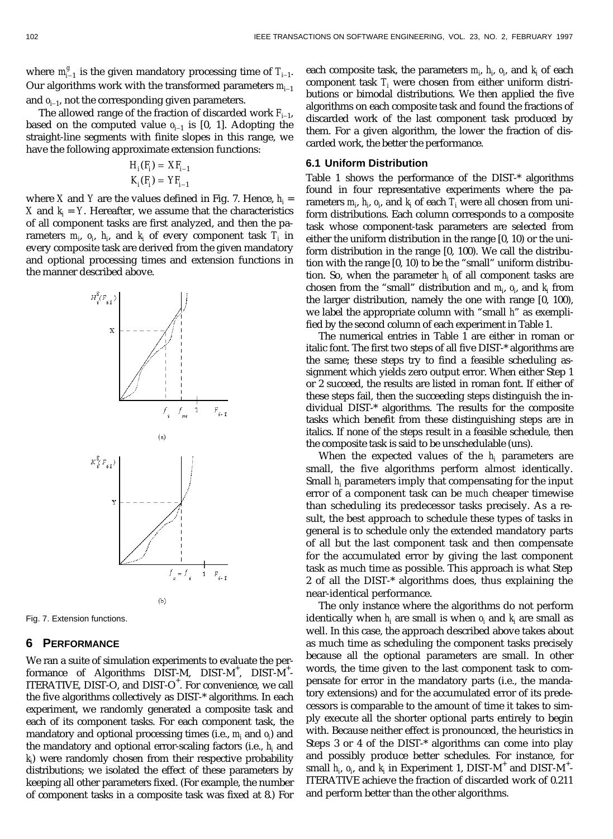where  $m_{i-1}^g$  is the given mandatory processing time of  $T_{i-1}$ . Our algorithms work with the transformed parameters  $m_{i-1}$ and  $o_{i-1}$ , not the corresponding given parameters.

The allowed range of the fraction of discarded work  $F_{i-1}$ , based on the computed value  $o_{i-1}$  is [0, 1]. Adopting the straight-line segments with finite slopes in this range, we have the following approximate extension functions:

$$
H_i(F_i) = XF_{i-1}
$$
  

$$
K_i(F_i) = YF_{i-1}
$$

where  $X$  and  $Y$  are the values defined in Fig. 7. Hence,  $h_i =$  $X$  and  $k_i = Y$ . Hereafter, we assume that the characteristics of all component tasks are first analyzed, and then the parameters  $m_i$ ,  $o_i$ ,  $h_i$ , and  $k_i$  of every component task  $T_i$  in every composite task are derived from the given mandatory and optional processing times and extension functions in the manner described above.



Fig. 7. Extension functions.

## **6 PERFORMANCE**

We ran a suite of simulation experiments to evaluate the performance of Algorithms DIST-M, DIST-M<sup>+</sup>, DIST-M<sup>+</sup>-ITERATIVE, DIST-O, and DIST-O<sup>+</sup>. For convenience, we call the five algorithms collectively as DIST-\* algorithms. In each experiment, we randomly generated a composite task and each of its component tasks. For each component task, the mandatory and optional processing times (i.e., *mi* and *oi* ) and the mandatory and optional error-scaling factors (i.e., *hi* and *ki* ) were randomly chosen from their respective probability distributions; we isolated the effect of these parameters by keeping all other parameters fixed. (For example, the number of component tasks in a composite task was fixed at 8.) For

each composite task, the parameters  $m_{i}$ ,  $h_{i}$ ,  $o_{i}$ , and  $k_{i}$  of each component task *Ti* were chosen from either uniform distributions or bimodal distributions. We then applied the five algorithms on each composite task and found the fractions of discarded work of the last component task produced by them. For a given algorithm, the lower the fraction of discarded work, the better the performance.

## **6.1 Uniform Distribution**

Table 1 shows the performance of the DIST-\* algorithms found in four representative experiments where the parameters  $m_i$ ,  $h_i$ ,  $o_i$ , and  $k_i$  of each  $T_i$  were all chosen from uniform distributions. Each column corresponds to a composite task whose component-task parameters are selected from either the uniform distribution in the range [0, 10) or the uniform distribution in the range [0, 100). We call the distribution with the range [0, 10) to be the "small" uniform distribution. So, when the parameter  $h_i$  of all component tasks are chosen from the "small" distribution and  $m_i$ ,  $o_i$ , and  $k_i$  from the larger distribution, namely the one with range [0, 100), we label the appropriate column with "small *h*" as exemplified by the second column of each experiment in Table 1.

The numerical entries in Table 1 are either in roman or italic font. The first two steps of all five DIST-\* algorithms are the same; these steps try to find a feasible scheduling assignment which yields zero output error. When either Step 1 or 2 succeed, the results are listed in roman font. If either of these steps fail, then the succeeding steps distinguish the individual DIST-\* algorithms. The results for the composite tasks which benefit from these distinguishing steps are in italics. If none of the steps result in a feasible schedule, then the composite task is said to be unschedulable (uns).

When the expected values of the *hi* parameters are small, the five algorithms perform almost identically. Small *hi* parameters imply that compensating for the input error of a component task can be *much* cheaper timewise than scheduling its predecessor tasks precisely. As a result, the best approach to schedule these types of tasks in general is to schedule only the extended mandatory parts of all but the last component task and then compensate for the accumulated error by giving the last component task as much time as possible. This approach is what Step 2 of all the DIST-\* algorithms does, thus explaining the near-identical performance.

The only instance where the algorithms do not perform identically when *hi* are small is when *oi* and *ki* are small as well. In this case, the approach described above takes about as much time as scheduling the component tasks precisely because all the optional parameters are small. In other words, the time given to the last component task to compensate for error in the mandatory parts (i.e., the mandatory extensions) and for the accumulated error of its predecessors is comparable to the amount of time it takes to simply execute all the shorter optional parts entirely to begin with. Because neither effect is pronounced, the heuristics in Steps 3 or 4 of the DIST-\* algorithms can come into play and possibly produce better schedules. For instance, for small  $h_i$ ,  $o_i$ , and  $k_i$  in Experiment 1, DIST-M<sup>+</sup> and DIST-M<sup>+</sup>-ITERATIVE achieve the fraction of discarded work of 0.211 and perform better than the other algorithms.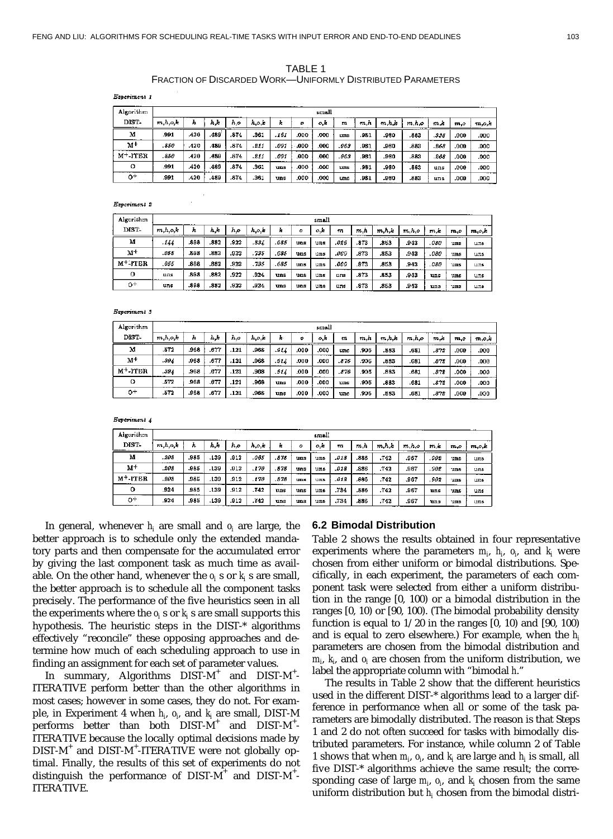TABLE 1 FRACTION OF DISCARDED WORK—UNIFORMLY DISTRIBUTED PARAMETERS

Experiment 1

| Algorithm | small      |      |      |      |         |      |            |      |              |      |           |       |            |      |       |
|-----------|------------|------|------|------|---------|------|------------|------|--------------|------|-----------|-------|------------|------|-------|
| DIST-     | m, h, o, k | 'n   | h, c | h.o  | h, o, k | k    | $^{\circ}$ | o,k  | m            | m.h  | $m_1n_2k$ | m.h.o | m k        | m.o  | m,o,k |
| M         | .991       | .420 | .489 | .874 | .361    | .161 | .000       | .000 | <b>LITIS</b> | .981 | .980      | .883  | ,338       | .000 | .000  |
| M+        | 850        | .420 | .489 | .874 | .211    | .091 | .000       | .000 | .963         | 981  | .980      | .883  | .268       | .000 | ,000  |
| $M+ITER$  | 850        | .420 | .489 | .874 | .211    | .091 | .000       | .000 | .963.        | 981  | .980      | .833  | .268       | .000 | .000  |
| o         | .991       | .420 | .489 | .874 | 361     | uns  | .000       | .000 | uns          | .931 | .980      | .883  | <b>uns</b> | .000 | .000  |
| o+        | .991       | .420 | -489 | .874 | .361    | uns  | .000       | .000 | uns          | 981  | .980      | .883  | uns        | ,000 | .000  |

#### Experiment 2

| Algorithm   |            |      |       |      |        |      |     | small           |      |       |          |       |      |               |       |
|-------------|------------|------|-------|------|--------|------|-----|-----------------|------|-------|----------|-------|------|---------------|-------|
| DIST-       | m, h, o, k | h    | A, le | h,o  | .h.o.k | k    | о   | o,k             | 771  | 14.44 | 71, h, k | m.h.o | m.k  | m,o           | m,o,k |
| М           | 144        | .898 | .882  | .922 | .834   | .085 | uns | uns             | 026  | .873  | .853     | .943  | .080 | ----<br>$uns$ | uns   |
| M+          | .055       | .898 | .882  | .922 | .795   | .085 | uns | uns             | .000 | .873  | 853      | .943  | .080 | uns           | uns   |
| $M^+$ -ITER | .055       | .898 | .882  | .922 | .735   | .085 | uns | uns             | .000 | .873  | 853      | .943  | .080 | uns           | uns   |
| о           | uns        | .893 | .882  | .922 | .924   | uns  | uns | $_{\text{uns}}$ | uns  | .873  | .853     | .943  | uns  | uns           | uns   |
| $O+$        | uns        | .893 | .882  | .922 | .924   | uns  | uns | uns             | uns  | .873  | .853     | .943  | uns  | uns           | uns   |

#### **Reperiencent S**

| Algorithm     |                  |      |      |      |         |                  |      | small |      |      |         |       | ---- |      |       |
|---------------|------------------|------|------|------|---------|------------------|------|-------|------|------|---------|-------|------|------|-------|
| DIST-<br>———— | m h.e.k          | h    | h.k  | h.o  | h, o, k | k.               | ۰    | o,k   | m    | m.h  | m, h, k | m.h.o | m k  | m,o  | m,o,k |
| м             | .572             | .968 | .677 | .121 | .863    | .914             | .000 | .000  | uns  | 905  | .833    | .681  | .872 | .000 | ,000  |
| $M+$          | .394             | .963 | .677 | .121 | .968    | .914             | .000 | .000  | .876 | .905 | .883    | .681  | .812 | .000 | .000  |
| $M^+$ -ITER   | .39 <sub>A</sub> | .968 | .677 | .121 | .968    | .914             | .000 | .000  | .876 | .905 | .883    | .681  | .872 | .000 | .000  |
| $\circ$       | .572             | .968 | .677 | .121 | .968    | 12 <sub>DB</sub> | .000 | .000  | uns  | 905  | .883    | .681  | 872  | .000 | .000  |
| o+            | 572              | .968 | .677 | .121 | .968    | uns              | .000 | .000  | uns  | 905  | .883    | .681  | .872 | ,000 | .000  |

Experiment 4

| Algorithm | small      |      |      |      |         |      |                 |      |      |      |         |       |      |      |       |
|-----------|------------|------|------|------|---------|------|-----------------|------|------|------|---------|-------|------|------|-------|
| DIST-     | m, h, o, k | h    | h, h | ĥ,o  | A, O, R | ĸ    | $\Omega$        | o, k | T1   | m,n  | m, n, c | m h.o | m.k  | T1.0 | m,o,k |
| м         | .208       | ,985 | .139 | .912 | .065    | .378 | $_{\text{uns}}$ | uns  | .018 | .886 | .742    | .967  | .902 | uns  | uns   |
| $M+$      | .203       | .985 | .139 | .912 | .170    | .878 | uns             | uns  | .018 | 886. | 742     | .967  | .902 | uns  | uns   |
| $M+$ ITER | .203       | .985 | .139 | .912 | .170    | .878 | uns             | uns  | .018 | .885 | .742    | .967  | .902 | uns  | uns   |
| $\circ$   | .924       | .985 | .139 | .912 | .742    | uns  | uns             | uns  | .734 | .886 | .742    | .867  | uns  | uns  | uns   |
| o+        | .924       | .985 | .139 | .912 | .742    | uns  | uns             | uns  | 734  | .886 | .742    | .967  | uns  | uns  | uns   |

In general, whenever  $h_i$  are small and  $o_i$  are large, the better approach is to schedule only the extended mandatory parts and then compensate for the accumulated error by giving the last component task as much time as available. On the other hand, whenever the  $o_i$  s or  $k_i$  s are small, the better approach is to schedule all the component tasks precisely. The performance of the five heuristics seen in all the experiments where the  $o_i$  s or  $k_i$  s are small supports this hypothesis. The heuristic steps in the DIST-\* algorithms effectively "reconcile" these opposing approaches and determine how much of each scheduling approach to use in finding an assignment for each set of parameter values.

In summary, Algorithms  $DIST-M^+$  and  $DIST-M^+$ -ITERATIVE perform better than the other algorithms in most cases; however in some cases, they do not. For example, in Experiment 4 when *hi* , *oi* , and *ki* are small, DIST-M  $\overline{\text{performs}}$  better than both DIST-M<sup>+</sup> and DIST-M<sup>+</sup>-ITERATIVE because the locally optimal decisions made by DIST-M<sup>+</sup> and DIST-M<sup>+</sup>-ITERATIVE were not globally optimal. Finally, the results of this set of experiments do not distinguish the performance of DIST- $\vec{M}^+$  and DIST-M<sup>+</sup>-ITERATIVE.

#### **6.2 Bimodal Distribution**

Table 2 shows the results obtained in four representative experiments where the parameters  $m_i$ ,  $h_i$ ,  $o_i$ , and  $k_i$  were chosen from either uniform or bimodal distributions. Specifically, in each experiment, the parameters of each component task were selected from either a uniform distribution in the range [0, 100) or a bimodal distribution in the ranges [0, 10) or [90, 100). (The bimodal probability density function is equal to  $1/20$  in the ranges  $[0, 10)$  and  $[90, 100)$ and is equal to zero elsewhere.) For example, when the *hi* parameters are chosen from the bimodal distribution and  $m_i$ ,  $k_i$ , and  $o_i$  are chosen from the uniform distribution, we label the appropriate column with "bimodal *h*."

The results in Table 2 show that the different heuristics used in the different DIST-\* algorithms lead to a larger difference in performance when all or some of the task parameters are bimodally distributed. The reason is that Steps 1 and 2 do not often succeed for tasks with bimodally distributed parameters. For instance, while column 2 of Table 1 shows that when  $m_i$ ,  $o_i$ , and  $k_i$  are large and  $h_i$  is small, all five DIST-\* algorithms achieve the same result; the corresponding case of large *mi* , *oi* , and *ki* chosen from the same uniform distribution but  $h_i$  chosen from the bimodal distri-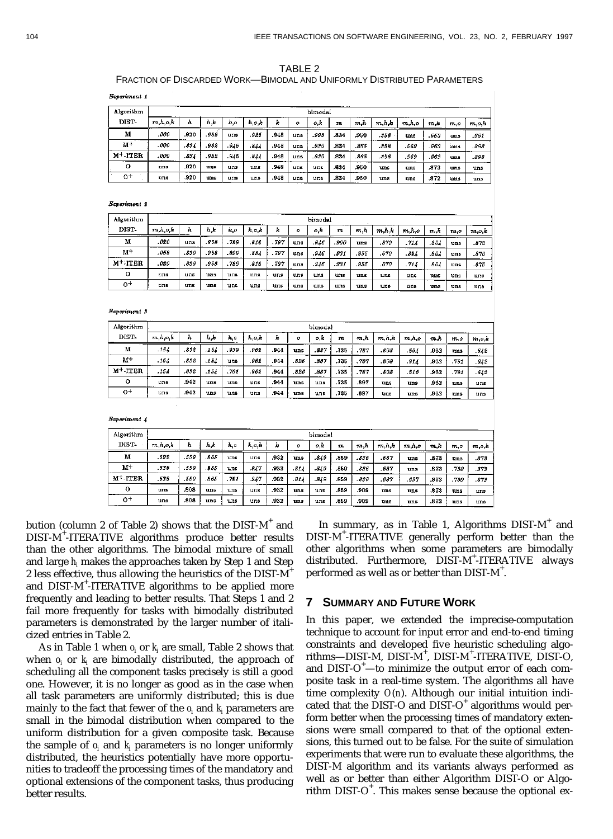| TABLE 2                                                                 |
|-------------------------------------------------------------------------|
| FRACTION OF DISCARDED WORK—BIMODAL AND UNIFORMLY DISTRIBUTED PARAMETERS |

**Experiment 1** 

| Algorithm      |            |       |      |      |       |      |         | bimodal |       |      |         |       |      |     |         |
|----------------|------------|-------|------|------|-------|------|---------|---------|-------|------|---------|-------|------|-----|---------|
| DIST-          | m, h, o, k | h     | h,e  | h,o  | h,o,k | k    | $\circ$ | o,k     | $\pi$ | n.h  | m, n, c | m.h.o | m.k  | m.o | m, o, k |
| M              | .000       | .920  | .932 | uns  | .925  | .948 | uns     | .993    | .334  | .950 | .358    | uns   | .663 | uns | .961    |
| $M_{+}$        | .000       | .894  | .932 | .946 | -844  | .948 | uns     | .930    | .334  | .855 | .358    | 569   | .663 | uns | .598    |
| $M^+$ ITER     | .000       | .83.4 | .932 | .946 | .844  | .948 | uns     | .930    | .834  | .865 | .358    | 569   | .663 | uns | .598    |
| o              | uns        | .820  | uns  | uns  | uns   | .948 | uns     | uns     | .834  | .950 | uns     | 1173  | .872 | uns | uns     |
| 0 <sup>+</sup> | uns        | .920  | uns  | uns  | uns   | .948 | uns     | uns     | .834  | .950 | uns     | uns   | .872 | uns | uns     |

#### Experiment 2

| Algorithm      |          |      |              |      |       |      |     | bimodal |              |      |                 |       |       |             |        |
|----------------|----------|------|--------------|------|-------|------|-----|---------|--------------|------|-----------------|-------|-------|-------------|--------|
| DIST-          | m,h,o,k  | ħ    | h, k<br>---- | h,o  | h,o,k | ĸ    | Ó   | o.k     | $\mathbf{m}$ | m,h  | n, h, k         | m,h,o | m.k   | 771,0       | 71.0.k |
| M              | .020     | uns  | 958.         | .789 | .816  | .797 | uns | .946    | .990         | uns  | .670            | .71f  | .804  | ----<br>uns | .870   |
| M <sup>+</sup> | .058     | .839 | 958          | .899 | .854  | .797 | uns | .946    | .931         | 955  | .670            | .824  | .80.4 | uns         | .870   |
| $M^+$ : ITER   | 020      | .859 | .958         | .789 | .316  | .797 | uns | .916    | .931         | .955 | .670            | .71.6 | .804  | uns         | .870   |
| $\circ$        | uns      | uns  | បងទ          | uns  | una   | uns  | uns | uns     | uns          | uns  | $_{\text{uns}}$ | uns   | uns   | uns         | uns    |
| o+             | $_{uns}$ | uns  | uns          | uns  | uns   | uns  | uns | uns     | uns          | uns  | uns             | uns   | uns   | <b>uns</b>  | uns    |

#### Experiment S

| Algorithm   | bimodal    |      |      |      |       |      |            |             |      |      |                 |       |      |      |       |
|-------------|------------|------|------|------|-------|------|------------|-------------|------|------|-----------------|-------|------|------|-------|
| DIST-       | m, h, o, k | ħ    | h, k | h.o  | h,a,k | Ŀ    | ۰          | o, k        | m    | m.h  | m, h, k         | m.h.o | m, k | m, o | m,o,k |
| M           | .154       | .832 | .154 | .939 | .062  | .944 | uns        | .837        | .735 | .787 | .803            | .69.4 | .932 | uns  | .042  |
| M+          | .154       | .853 | .154 | uns  | .062  | .944 | .826       | .867        | .735 | .787 | .803            | .914  | .932 | .791 | .642  |
| $M^+$ -ITER | .15.4      | .832 | .154 | .761 | ,062  | .944 | .826       | .887<br>--- | .735 | .787 | .803            | .516  | .932 | .791 | .642  |
| $\circ$     | uns        | .942 | uns  | uns  | uns   | .944 | <b>uns</b> | uns         | 735  | .897 | uns             | uns   | 932  | uns  | uns   |
| $O+$        | uns        | .942 | uns  | uns  | tins  | 944  | <b>URB</b> | uns         | 735  | .897 | $\mathbf{u}$ ns | uns   | .932 | uns  | uns   |

Experiment 4

| Algorithm   |            |      |            |      |       |      |      | bimodal |      |       |         |       |      |            |       |
|-------------|------------|------|------------|------|-------|------|------|---------|------|-------|---------|-------|------|------------|-------|
| DIST-       | m, h, o, k | h    | h,k        | h,o  | h,o,k | k    | o    | o,k     | m    | 771.A | m, h, k | m.h.o | m,k  | m,o        | n.o.k |
| м           | 592        | 559  | .865       | uns  | uns   | 932  | uns  | .349    | .859 | .835  | .687    | uns   | .873 | <b>Uns</b> | .873  |
| $M+$        | 538        | .559 | .365       | uns  | .247  | .932 | .814 | .345    | .859 | .836  | .637    | uns   | .873 | .750       | .873  |
| $M^+$ -ITER | 538        | .559 | .365       | .721 | .947  | .932 | .514 | - 849   | .859 | .836  | .687    | .637  | .873 | .750       | 873   |
| $\Omega$    | uns        | .808 | <b>uns</b> | uns  | uns   | .932 | uns  | uns     | .859 | .909  | uns     | uns   | .873 | uns        | uns   |
| $^{\circ}$  | uns        | .808 | <b>UDS</b> | uns  | uns   | .932 | uns  | uns     | .859 | .909  | uns     | uns   | .873 | uns        | uns   |

bution (column 2 of Table 2) shows that the DIST-M $^\mathrm{+}$  and DIST-M<sup>+</sup>-ITERATIVE algorithms produce better results than the other algorithms. The bimodal mixture of small and large *hi* makes the approaches taken by Step 1 and Step 2 less effective, thus allowing the heuristics of the DIST- $M^+$ and DIST-M<sup>+</sup>-ITERATIVE algorithms to be applied more frequently and leading to better results. That Steps 1 and 2 fail more frequently for tasks with bimodally distributed parameters is demonstrated by the larger number of italicized entries in Table 2.

As in Table 1 when  $o_i$  or  $k_i$  are small, Table 2 shows that when  $o_i$  or  $k_i$  are bimodally distributed, the approach of scheduling all the component tasks precisely is still a good one. However, it is no longer as good as in the case when all task parameters are uniformly distributed; this is due mainly to the fact that fewer of the  $o_i$  and  $k_i$  parameters are small in the bimodal distribution when compared to the uniform distribution for a given composite task. Because the sample of  $o_i$  and  $k_i$  parameters is no longer uniformly distributed, the heuristics potentially have more opportunities to tradeoff the processing times of the mandatory and optional extensions of the component tasks, thus producing better results.

In summary, as in Table 1, Algorithms  $\text{DIST-M}^+$  and DIST-M<sup>+</sup>-ITERATIVE generally perform better than the other algorithms when some parameters are bimodally distributed. Furthermore, DIST-M<sup>+</sup>-ITERATIVE always performed as well as or better than DIST-M $^\mathrm{+}$ .

# **7 SUMMARY AND FUTURE WORK**

In this paper, we extended the imprecise-computation technique to account for input error and end-to-end timing constraints and developed five heuristic scheduling algorithms—DIST-M, DIST-M<sup>+</sup>, DIST-M<sup>+</sup>-ITERATIVE, DIST-O, and  $\text{DIST-O}^{\text{+}}$ —to minimize the output error of each composite task in a real-time system. The algorithms all have time complexity *O*(*n*). Although our initial intuition indicated that the DIST-O and DIST-O<sup>+</sup> algorithms would perform better when the processing times of mandatory extensions were small compared to that of the optional extensions, this turned out to be false. For the suite of simulation experiments that were run to evaluate these algorithms, the DIST-M algorithm and its variants always performed as well as or better than either Algorithm DIST-O or Algorithm DIST-O<sup>+</sup>. This makes sense because the optional ex-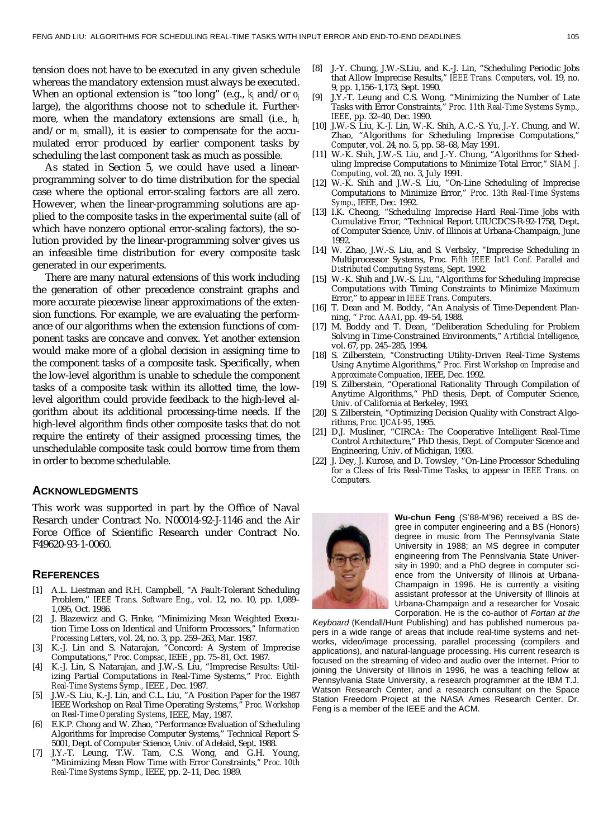tension does not have to be executed in any given schedule whereas the mandatory extension must always be executed. When an optional extension is "too long" (e.g., *ki* and/or *oi* large), the algorithms choose not to schedule it. Furthermore, when the mandatory extensions are small (i.e., *hi* and/or  $m_i$  small), it is easier to compensate for the accumulated error produced by earlier component tasks by scheduling the last component task as much as possible.

As stated in Section 5, we could have used a linearprogramming solver to do time distribution for the special case where the optional error-scaling factors are all zero. However, when the linear-programming solutions are applied to the composite tasks in the experimental suite (all of which have nonzero optional error-scaling factors), the solution provided by the linear-programming solver gives us an infeasible time distribution for every composite task generated in our experiments.

There are many natural extensions of this work including the generation of other precedence constraint graphs and more accurate piecewise linear approximations of the extension functions. For example, we are evaluating the performance of our algorithms when the extension functions of component tasks are concave and convex. Yet another extension would make more of a global decision in assigning time to the component tasks of a composite task. Specifically, when the low-level algorithm is unable to schedule the component tasks of a composite task within its allotted time, the lowlevel algorithm could provide feedback to the high-level algorithm about its additional processing-time needs. If the high-level algorithm finds other composite tasks that do not require the entirety of their assigned processing times, the unschedulable composite task could borrow time from them in order to become schedulable.

#### **ACKNOWLEDGMENTS**

This work was supported in part by the Office of Naval Resarch under Contract No. N00014-92-J-1146 and the Air Force Office of Scientific Research under Contract No. F49620-93-1-0060.

#### **REFERENCES**

- [1] A.L. Liestman and R.H. Campbell, "A Fault-Tolerant Scheduling Problem," *IEEE Trans. Software Eng*., vol. 12, no. 10, pp. 1,089– 1,095, Oct. 1986.
- [2] J. Blazewicz and G. Finke, "Minimizing Mean Weighted Execution Time Loss on Identical and Uniform Processors," *Information Processing Letters*, vol. 24, no. 3, pp. 259–263, Mar. 1987.
- [3] K.-J. Lin and S. Natarajan, "Concord: A System of Imprecise Computations," *Proc. Compsac*, IEEE , pp. 75–81, Oct. 1987.
- [4] K.-J. Lin, S. Natarajan, and J.W.-S. Liu, "Imprecise Results: Utilizing Partial Computations in Real-Time Systems," *Proc. Eighth Real-Time Systems Symp.,* IEEE , Dec. 1987.
- [5] J.W.-S. Liu, K.-J. Lin, and C.L. Liu, "A Position Paper for the 1987 IEEE Workshop on Real Time Operating Systems," *Proc. Workshop on Real-Time Operating Systems*, IEEE, May, 1987.
- E.K.P. Chong and W. Zhao, "Performance Evaluation of Scheduling Algorithms for Imprecise Computer Systems," Technical Report S-5001, Dept. of Computer Science, Univ. of Adelaid, Sept. 1988.
- [7] J.Y.-T. Leung, T.W. Tam, C.S. Wong, and G.H. Young, "Minimizing Mean Flow Time with Error Constraints," *Proc. 10th Real-Time Systems Symp.,* IEEE, pp. 2–11, Dec. 1989.
- [8] J.-Y. Chung, J.W.-S.Liu, and K.-J. Lin, "Scheduling Periodic Jobs that Allow Imprecise Results," *IEEE Trans. Computers*, vol. 19, no. 9, pp. 1,156–1,173, Sept. 1990.
- [9] J.Y.-T. Leung and C.S. Wong, "Minimizing the Number of Late Tasks with Error Constraints," *Proc. 11th Real-Time Systems Symp., IEEE,* pp. 32–40, Dec. 1990.
- [10] J.W.-S. Liu, K.-J. Lin, W.-K. Shih, A.C.-S. Yu, J.-Y. Chung, and W. Zhao, "Algorithms for Scheduling Imprecise Computations," *Computer*, vol. 24, no. 5, pp. 58–68, May 1991.
- [11] W.-K. Shih, J.W.-S. Liu, and J.-Y. Chung, "Algorithms for Scheduling Imprecise Computations to Minimize Total Error," *SIAM J. Computing*, vol. 20, no. 3, July 1991.
- [12] W.-K. Shih and J.W.-S. Liu, "On-Line Scheduling of Imprecise Computations to Minimize Error," *Proc. 13th Real-Time Systems Symp*., IEEE, Dec. 1992.
- [13] I.K. Cheong, "Scheduling Imprecise Hard Real-Time Jobs with Cumulative Error, "Technical Report UIUCDCS-R-92-1758, Dept. of Computer Science, Univ. of Illinois at Urbana-Champaign, June 1992.
- [14] W. Zhao, J.W.-S. Liu, and S. Verbsky, "Imprecise Scheduling in Multiprocessor Systems, *Proc. Fifth IEEE Int'l Conf. Parallel and Distributed Computing Systems*, Sept. 1992.
- [15] W.-K. Shih and J.W.-S. Liu, "Algorithms for Scheduling Imprecise Computations with Timing Constraints to Minimize Maximum Error," to appear in *IEEE Trans. Computers*.
- [16] T. Dean and M. Boddy, "An Analysis of Time-Dependent Planning, " *Proc. AAAI*, pp. 49–54, 1988.
- [17] M. Boddy and T. Dean, "Deliberation Scheduling for Problem Solving in Time-Constrained Environments," *Artificial Intelligence*, vol. 67, pp. 245–285, 1994.
- [18] S. Zilberstein, "Constructing Utility-Driven Real-Time Systems Using Anytime Algorithms," *Proc. First Workshop on Imprecise and Approximate Compuation*, IEEE, Dec. 1992.
- [19] S. Zilberstein, "Operational Rationality Through Compilation of Anytime Algorithms," PhD thesis, Dept. of Computer Science, Univ. of California at Berkeley, 1993.
- [20] S. Zilberstein, "Optimizing Decision Quality with Constract Algorithms, *Proc. IJCAI-95*, 1995.
- [21] D.J. Musliner, "CIRCA: The Cooperative Intelligent Real-Time Control Architecture," PhD thesis, Dept. of Computer Sicence and Engineering, Univ. of Michigan, 1993.
- [22] J. Dey, J. Kurose, and D. Towsley, "On-Line Processor Scheduling for a Class of Iris Real-Time Tasks, to appear in *IEEE Trans. on Computers.*



**Wu-chun Feng** (S'88-M'96) received a BS degree in computer engineering and a BS (Honors) degree in music from The Pennsylvania State University in 1988; an MS degree in computer engineering from The Pennslvania State University in 1990; and a PhD degree in computer science from the University of Illinois at Urbana-Champaign in 1996. He is currently a visiting assistant professor at the University of Illinois at Urbana-Champaign and a researcher for Vosaic Corporation. He is the co-author of Fortan at the

Keyboard (Kendall/Hunt Publishing) and has published numerous papers in a wide range of areas that include real-time systems and networks, video/image processing, parallel processing (compilers and applications), and natural-language processing. His current research is focused on the streaming of video and audio over the Internet. Prior to joining the University of Illinois in 1996, he was a teaching fellow at Pennsylvania State University, a research programmer at the IBM T.J. Watson Research Center, and a research consultant on the Space Station Freedom Project at the NASA Ames Research Center. Dr. Feng is a member of the IEEE and the ACM.